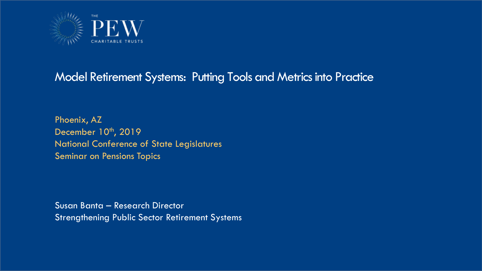

### Model Retirement Systems: Putting Tools and Metrics into Practice

Phoenix, AZ December 10<sup>th</sup>, 2019 National Conference of State Legislatures Seminar on Pensions Topics

Susan Banta – Research Director Strengthening Public Sector Retirement Systems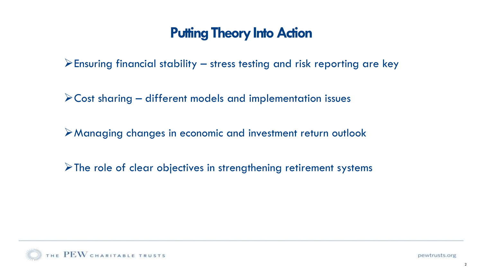$\triangleright$  Ensuring financial stability – stress testing and risk reporting are key

 $\triangleright$  Cost sharing – different models and implementation issues

➢Managing changes in economic and investment return outlook

 $\triangleright$  The role of clear objectives in strengthening retirement systems

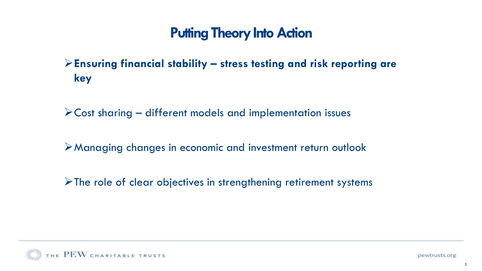### ➢**Ensuring financial stability – stress testing and risk reporting are key**

➢Cost sharing – different models and implementation issues

➢Managing changes in economic and investment return outlook

 $\triangleright$  The role of clear objectives in strengthening retirement systems

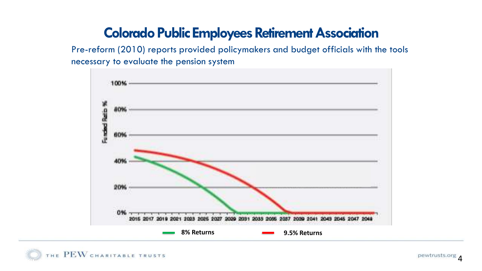### **Colorado Public Employees Retirement Association**

Pre-reform (2010) reports provided policymakers and budget officials with the tools necessary to evaluate the pension system



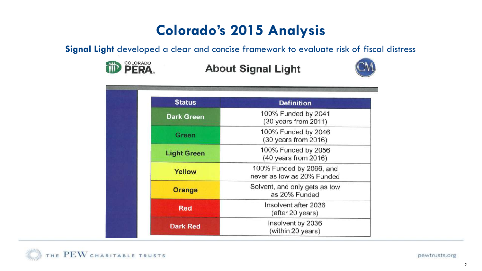# **Colorado's 2015 Analysis**

**Signal Light** developed a clear and concise framework to evaluate risk of fiscal distress



### **About Signal Light**



| <b>Status</b>      | <b>Definition</b>                                      |
|--------------------|--------------------------------------------------------|
| <b>Dark Green</b>  | 100% Funded by 2041<br>(30 years from 2011)            |
| Green              | 100% Funded by 2046<br>(30 years from 2016)            |
| <b>Light Green</b> | 100% Funded by 2056<br>(40 years from 2016)            |
| Yellow             | 100% Funded by 2066, and<br>never as low as 20% Funded |
| <b>Orange</b>      | Solvent, and only gets as low<br>as 20% Funded         |
| <b>Red</b>         | Insolvent after 2036<br>(after 20 years)               |
| <b>Dark Red</b>    | Insolvent by 2036<br>(within 20 years)                 |

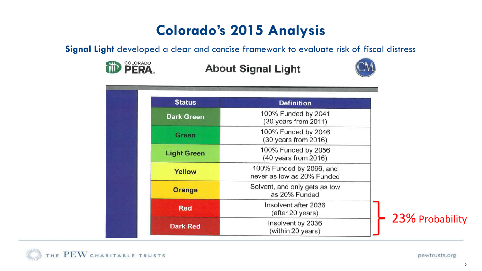# **Colorado's 2015 Analysis**

**Signal Light** developed a clear and concise framework to evaluate risk of fiscal distress



### **About Signal Light**



| <b>Status</b>      | <b>Definition</b>                                      |                 |
|--------------------|--------------------------------------------------------|-----------------|
| <b>Dark Green</b>  | 100% Funded by 2041<br>(30 years from 2011)            | 23% Probability |
| <b>Green</b>       | 100% Funded by 2046<br>(30 years from 2016)            |                 |
| <b>Light Green</b> | 100% Funded by 2056<br>(40 years from 2016)            |                 |
| Yellow             | 100% Funded by 2066, and<br>never as low as 20% Funded |                 |
| Orange             | Solvent, and only gets as low<br>as 20% Funded         |                 |
| <b>Red</b>         | Insolvent after 2036<br>(after 20 years)               |                 |
| <b>Dark Red</b>    | Insolvent by 2036<br>(within 20 years)                 |                 |

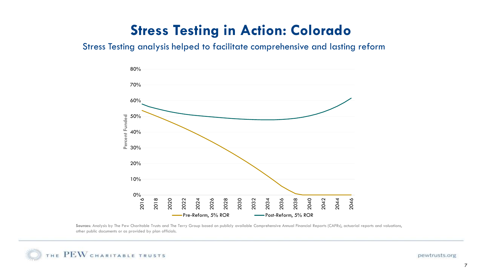## **Stress Testing in Action: Colorado**

### Stress Testing analysis helped to facilitate comprehensive and lasting reform



Sources: Analysis by The Pew Charitable Trusts and The Terry Group based on publicly available Comprehensive Annual Financial Reports (CAFRs), actuarial reports and valuations, other public documents or as provided by plan officials.

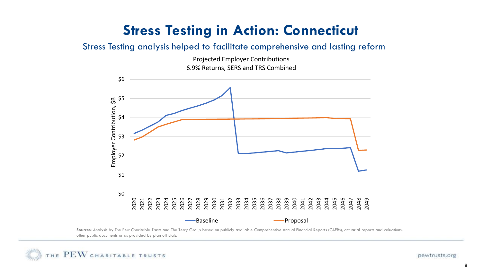## **Stress Testing in Action: Connecticut**

#### Stress Testing analysis helped to facilitate comprehensive and lasting reform





Sources: Analysis by The Pew Charitable Trusts and The Terry Group based on publicly available Comprehensive Annual Financial Reports (CAFRs), actuarial reports and valuations, other public documents or as provided by plan officials.

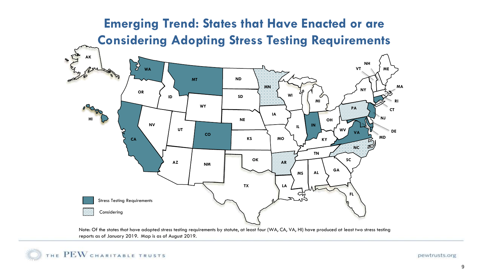### **Emerging Trend: States that Have Enacted or are Considering Adopting Stress Testing Requirements**



Note: Of the states that have adopted stress testing requirements by statute, at least four (WA, CA, VA, HI) have produced at least two stress testing reports as of January 2019. Map is as of August 2019.

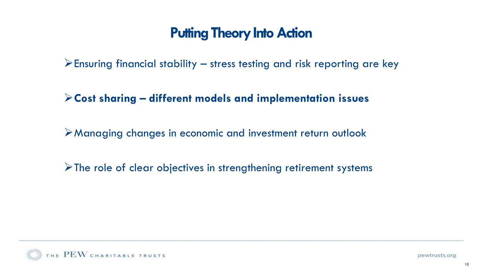$\triangleright$  Ensuring financial stability – stress testing and risk reporting are key

➢**Cost sharing – different models and implementation issues**

➢Managing changes in economic and investment return outlook

➢The role of clear objectives in strengthening retirement systems

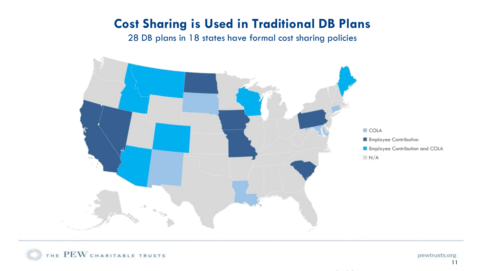### **Cost Sharing is Used in Traditional DB Plans**

28 DB plans in 18 states have formal cost sharing policies



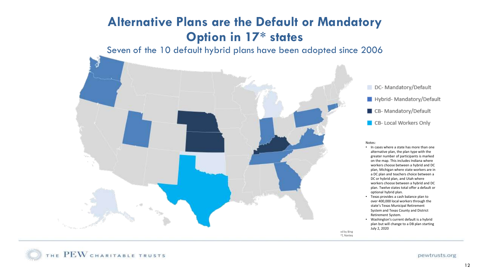### **Alternative Plans are the Default or Mandatory Option in 17\* states**

Seven of the 10 default hybrid plans have been adopted since 2006





#### Notes:

- In cases where a state has more than one alternative plan, the plan type with the greater number of participants is marked on the map. This includes Indiana where workers choose between a hybrid and DC plan, Michigan where state workers are in a DC plan and teachers choice between a DC or hybrid plan, and Utah where workers choose between a hybrid and DC plan. Twelve states total offer a default or optional hybrid plan.
- Texas provides a cash balance plan to over 400,000 local workers through the state's Texas Municipal Retirement System and Texas County and District Retirement System.
- Washington's current default is a hybrid plan but will change to a DB plan starting July 2, 2020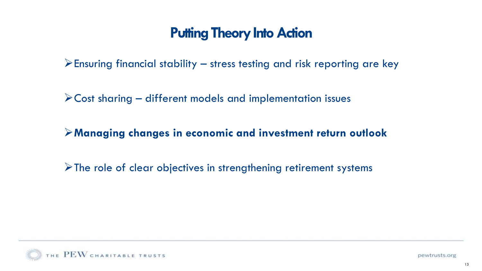$\triangleright$  Ensuring financial stability – stress testing and risk reporting are key

 $\triangleright$  Cost sharing – different models and implementation issues

➢**Managing changes in economic and investment return outlook**

➢The role of clear objectives in strengthening retirement systems

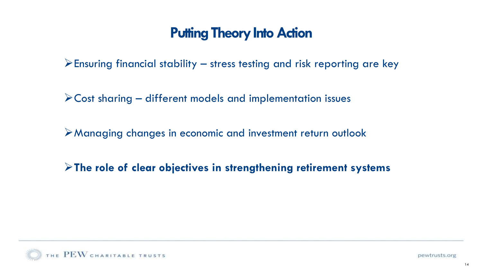$\triangleright$  Ensuring financial stability – stress testing and risk reporting are key

 $\triangleright$  Cost sharing – different models and implementation issues

➢Managing changes in economic and investment return outlook

➢**The role of clear objectives in strengthening retirement systems**